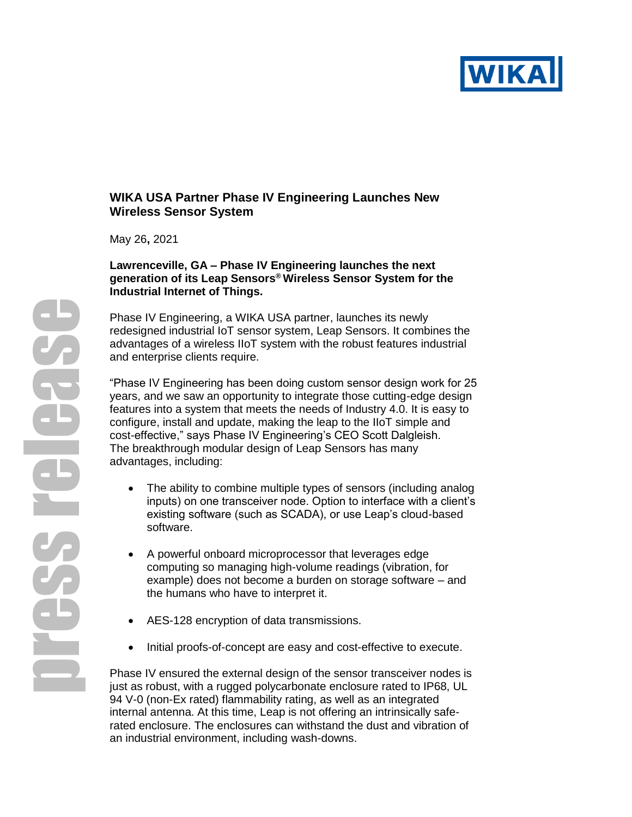

# **WIKA USA Partner Phase IV Engineering Launches New Wireless Sensor System**

May 26**,** 2021

#### **Lawrenceville, GA – Phase IV Engineering launches the next generation of its Leap Sensors® Wireless Sensor System for the Industrial Internet of Things.**

Phase IV Engineering, a WIKA USA partner, launches its newly redesigned industrial IoT sensor system, Leap Sensors. It combines the advantages of a wireless IIoT system with the robust features industrial and enterprise clients require.

"Phase IV Engineering has been doing custom sensor design work for 25 years, and we saw an opportunity to integrate those cutting-edge design features into a system that meets the needs of Industry 4.0. It is easy to configure, install and update, making the leap to the IIoT simple and cost-effective," says Phase IV Engineering's CEO Scott Dalgleish. The breakthrough modular design of Leap Sensors has many advantages, including:

- The ability to combine multiple types of sensors (including analog inputs) on one transceiver node. Option to interface with a client's existing software (such as SCADA), or use Leap's cloud-based software.
- A powerful onboard microprocessor that leverages edge computing so managing high-volume readings (vibration, for example) does not become a burden on storage software – and the humans who have to interpret it.
- AES-128 encryption of data transmissions.
- Initial proofs-of-concept are easy and cost-effective to execute.

Phase IV ensured the external design of the sensor transceiver nodes is just as robust, with a rugged polycarbonate enclosure rated to IP68, UL 94 V-0 (non-Ex rated) flammability rating, as well as an integrated internal antenna. At this time, Leap is not offering an intrinsically saferated enclosure. The enclosures can withstand the dust and vibration of an industrial environment, including wash-downs.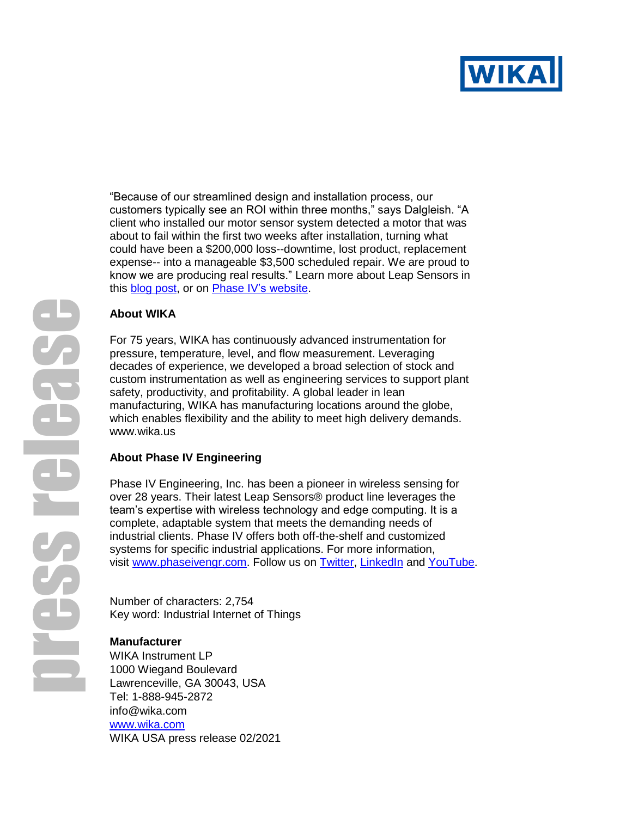

"Because of our streamlined design and installation process, our customers typically see an ROI within three months," says Dalgleish. "A client who installed our motor sensor system detected a motor that was about to fail within the first two weeks after installation, turning what could have been a \$200,000 loss--downtime, lost product, replacement expense-- into a manageable \$3,500 scheduled repair. We are proud to know we are producing real results." Learn more about Leap Sensors in this **blog post**, or on **Phase IV's website**.

#### **About WIKA**

For 75 years, WIKA has continuously advanced instrumentation for pressure, temperature, level, and flow measurement. Leveraging decades of experience, we developed a broad selection of stock and custom instrumentation as well as engineering services to support plant safety, productivity, and profitability. A global leader in lean manufacturing, WIKA has manufacturing locations around the globe, which enables flexibility and the ability to meet high delivery demands. [www.wika.us](http://www.wika.us/)

# **About Phase IV Engineering**

Phase IV Engineering, Inc. has been a pioneer in wireless sensing for over 28 years. Their latest Leap Sensors® product line leverages the team's expertise with wireless technology and edge computing. It is a complete, adaptable system that meets the demanding needs of industrial clients. Phase IV offers both off-the-shelf and customized systems for specific industrial applications. For more information, visit [www.phaseivengr.com.](file:///C:/Users/swenande/marketing/New%20folder/www.phaseivengr.com) Follow us on [Twitter,](https://twitter.com/PhaseIVEngr) [LinkedIn](https://www.linkedin.com/company/phase-iv-engineering/about/) and [YouTube.](file:///C:/Users/Susan/AppData/Local/Microsoft/Windows/INetCache/Content.Outlook/KZ1C8V85/youtube.com/c/PhaseIVEngineering)

Number of characters: 2,754 Key word: Industrial Internet of Things

# **Manufacturer**

WIKA Instrument LP 1000 Wiegand Boulevard Lawrenceville, GA 30043, USA Tel: 1-888-945-2872 info@wika.com [www.wika.com](http://www.wika.com/) WIKA USA press release 02/2021